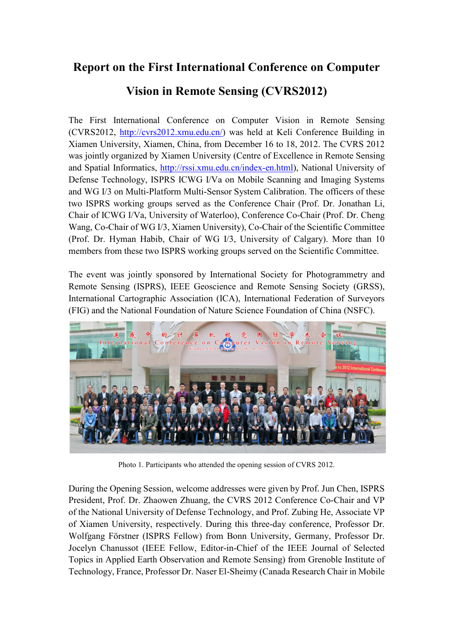## Report on the First International Conference on Computer

## Vision in Remote Sensing (CVRS2012)

The First International Conference on Computer Vision in Remote Sensing (CVRS2012, http://cvrs2012.xmu.edu.cn/) was held at Keli Conference Building in Xiamen University, Xiamen, China, from December 16 to 18, 2012. The CVRS 2012 was jointly organized by Xiamen University (Centre of Excellence in Remote Sensing and Spatial Informatics, http://rssi.xmu.edu.cn/index-en.html), National University of Defense Technology, ISPRS ICWG I/Va on Mobile Scanning and Imaging Systems and WG I/3 on Multi-Platform Multi-Sensor System Calibration. The officers of these two ISPRS working groups served as the Conference Chair (Prof. Dr. Jonathan Li, Chair of ICWG I/Va, University of Waterloo), Conference Co-Chair (Prof. Dr. Cheng Wang, Co-Chair of WG I/3, Xiamen University), Co-Chair of the Scientific Committee (Prof. Dr. Hyman Habib, Chair of WG I/3, University of Calgary). More than 10 members from these two ISPRS working groups served on the Scientific Committee.

The event was jointly sponsored by International Society for Photogrammetry and Remote Sensing (ISPRS), IEEE Geoscience and Remote Sensing Society (GRSS), International Cartographic Association (ICA), International Federation of Surveyors (FIG) and the National Foundation of Nature Science Foundation of China (NSFC).



Photo 1. Participants who attended the opening session of CVRS 2012.

During the Opening Session, welcome addresses were given by Prof. Jun Chen, ISPRS President, Prof. Dr. Zhaowen Zhuang, the CVRS 2012 Conference Co-Chair and VP of the National University of Defense Technology, and Prof. Zubing He, Associate VP of Xiamen University, respectively. During this three-day conference, Professor Dr. Wolfgang Förstner (ISPRS Fellow) from Bonn University, Germany, Professor Dr. Jocelyn Chanussot (IEEE Fellow, Editor-in-Chief of the IEEE Journal of Selected Topics in Applied Earth Observation and Remote Sensing) from Grenoble Institute of Technology, France, Professor Dr. Naser El-Sheimy (Canada Research Chair in Mobile